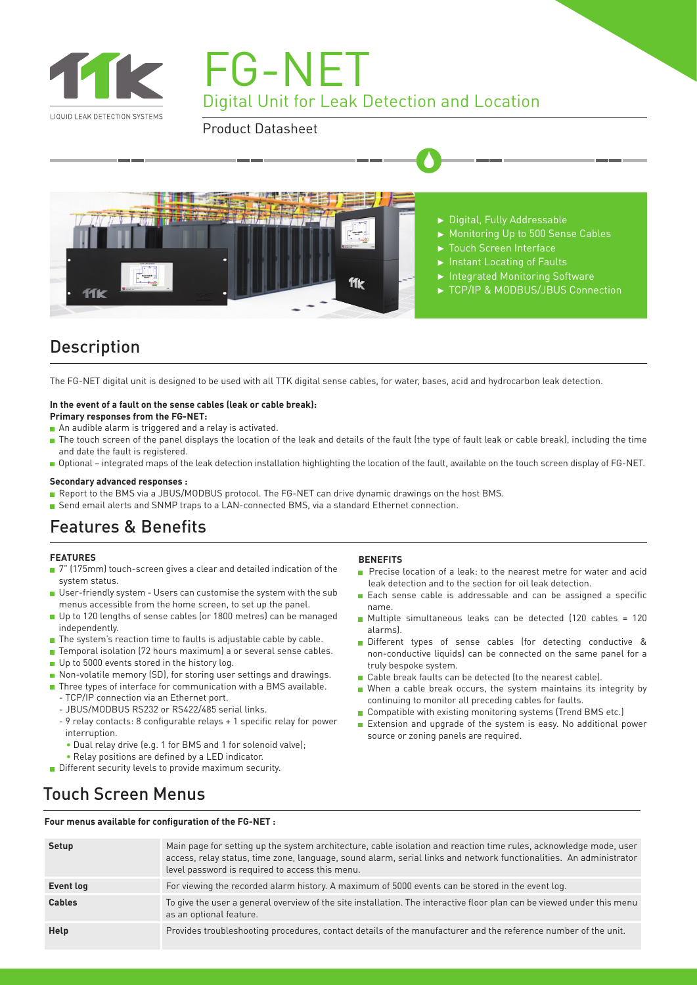

FG-NET Digital Unit for Leak Detection and Location

Product Datasheet



# Description

The FG-NET digital unit is designed to be used with all TTK digital sense cables, for water, bases, acid and hydrocarbon leak detection.

#### **In the event of a fault on the sense cables (leak or cable break):**

#### **Primary responses from the FG-NET:**

- An audible alarm is triggered and a relay is activated.
- The touch screen of the panel displays the location of the leak and details of the fault (the type of fault leak or cable break), including the time and date the fault is registered.
- Optional integrated maps of the leak detection installation highlighting the location of the fault, available on the touch screen display of FG-NET.

#### **Secondary advanced responses :**

- Report to the BMS via a JBUS/MODBUS protocol. The FG-NET can drive dynamic drawings on the host BMS.
- Send email alerts and SNMP traps to a LAN-connected BMS, via a standard Ethernet connection.

### Features & Benefits

#### **FEATURES**

- 7" (175mm) touch-screen gives a clear and detailed indication of the system status.
- User-friendly system Users can customise the system with the sub menus accessible from the home screen, to set up the panel.
- Up to 120 lengths of sense cables (or 1800 metres) can be managed independently.
- The system's reaction time to faults is adjustable cable by cable.
- Temporal isolation (72 hours maximum) a or several sense cables.
- Up to 5000 events stored in the history log.
- Non-volatile memory (SD), for storing user settings and drawings.
- Three types of interface for communication with a BMS available.
	- TCP/IP connection via an Ethernet port.
	- JBUS/MODBUS RS232 or RS422/485 serial links.
	- 9 relay contacts: 8 configurable relays + 1 specific relay for power interruption.
	- Dual relay drive (e.g. 1 for BMS and 1 for solenoid valve);
	- Relay positions are defined by a LED indicator.
- Different security levels to provide maximum security.

#### **BENEFITS**

- **Precise location of a leak: to the nearest metre for water and acide** leak detection and to the section for oil leak detection.
- Each sense cable is addressable and can be assigned a specific name.
- Multiple simultaneous leaks can be detected (120 cables = 120 alarms).
- Different types of sense cables (for detecting conductive & non-conductive liquids) can be connected on the same panel for a truly bespoke system.
- Cable break faults can be detected (to the nearest cable).
- When a cable break occurs, the system maintains its integrity by continuing to monitor all preceding cables for faults.
- Compatible with existing monitoring systems (Trend BMS etc.)
- Extension and upgrade of the system is easy. No additional power source or zoning panels are required.

### Touch Screen Menus

**Four menus available for configuration of the FG-NET :**

| Setup         | Main page for setting up the system architecture, cable isolation and reaction time rules, acknowledge mode, user<br>access, relay status, time zone, language, sound alarm, serial links and network functionalities. An administrator<br>level password is required to access this menu. |
|---------------|--------------------------------------------------------------------------------------------------------------------------------------------------------------------------------------------------------------------------------------------------------------------------------------------|
| Event log     | For viewing the recorded alarm history. A maximum of 5000 events can be stored in the event log.                                                                                                                                                                                           |
| <b>Cables</b> | To give the user a general overview of the site installation. The interactive floor plan can be viewed under this menu<br>as an optional feature.                                                                                                                                          |
| Help          | Provides troubleshooting procedures, contact details of the manufacturer and the reference number of the unit.                                                                                                                                                                             |